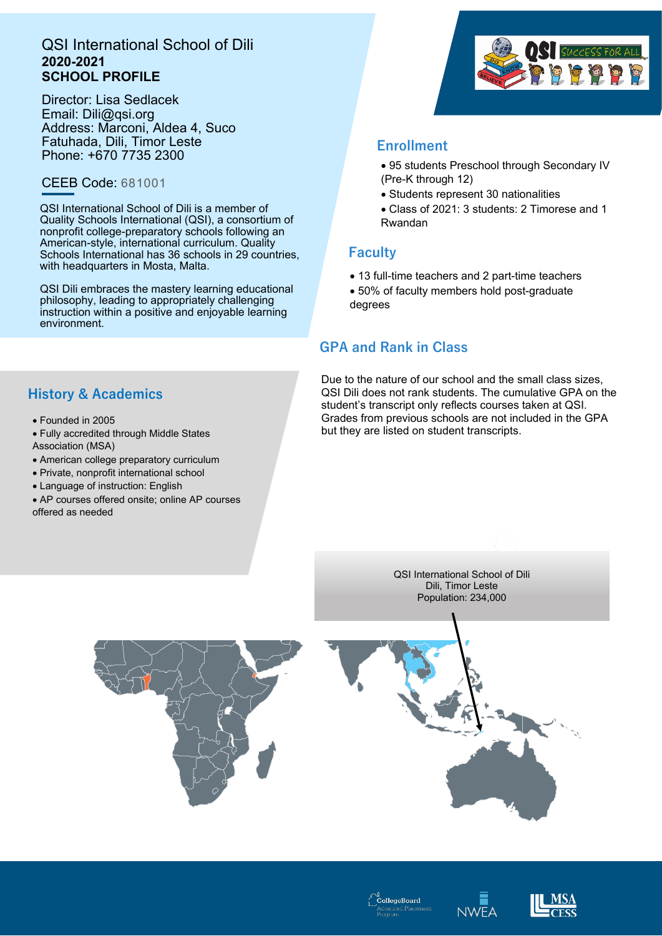# QSI International School of Dili **2020-2021 SCHOOL PROFILE**

Director: Lisa Sedlacek Email: Dili@qsi.org Address: Marconi, Aldea 4, Suco Fatuhada, Dili, Timor Leste Phone: +670 7735 2300

# CEEB Code: 681001

QSI International School of Dili is a member of Quality Schools International (QSI), a consortium of nonprofit college-preparatory schools following an American-style, international curriculum. Quality Schools International has 36 schools in 29 countries, with headquarters in Mosta, Malta.

QSI Dili embraces the mastery learning educational philosophy, leading to appropriately challenging instruction within a positive and enjoyable learning environment.

# **History & Academics**

- Founded in 2005
- Fully accredited through Middle States
- Association (MSA)
- American college preparatory curriculum
- Private, nonprofit international school
- Language of instruction: English
- AP courses offered onsite; online AP courses offered as needed



# **Enrollment**

- 95 students Preschool through Secondary IV (Pre-K through 12)
- Students represent 30 nationalities
- Class of 2021: 3 students: 2 Timorese and 1 Rwandan

# **Faculty**

• 13 full-time teachers and 2 part-time teachers • 50% of faculty members hold post-graduate degrees

# **GPA and Rank in Class**

Due to the nature of our school and the small class sizes, QSI Dili does not rank students. The cumulative GPA on the student's transcript only reflects courses taken at QSI. Grades from previous schools are not included in the GPA but they are listed on student transcripts.

> QSI International School of Dili Dili, Timor Leste Population: 234,000